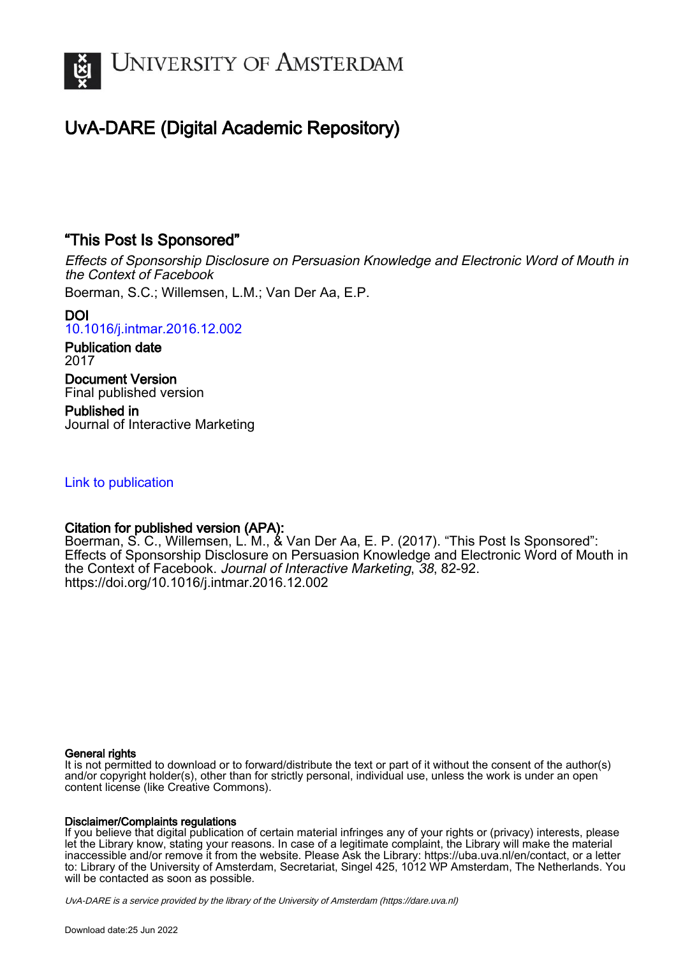

# UvA-DARE (Digital Academic Repository)

# "This Post Is Sponsored"

Effects of Sponsorship Disclosure on Persuasion Knowledge and Electronic Word of Mouth in the Context of Facebook

Boerman, S.C.; Willemsen, L.M.; Van Der Aa, E.P.

DOI [10.1016/j.intmar.2016.12.002](https://doi.org/10.1016/j.intmar.2016.12.002)

Publication date 2017 Document Version Final published version

Published in Journal of Interactive Marketing

# [Link to publication](https://dare.uva.nl/personal/pure/en/publications/this-post-is-sponsored(bb3eafdb-2fb2-4e13-b670-257b29526fdd).html)

# Citation for published version (APA):

Boerman, S. C., Willemsen, L. M., & Van Der Aa, E. P. (2017). "This Post Is Sponsored": Effects of Sponsorship Disclosure on Persuasion Knowledge and Electronic Word of Mouth in the Context of Facebook. Journal of Interactive Marketing, 38, 82-92. <https://doi.org/10.1016/j.intmar.2016.12.002>

# General rights

It is not permitted to download or to forward/distribute the text or part of it without the consent of the author(s) and/or copyright holder(s), other than for strictly personal, individual use, unless the work is under an open content license (like Creative Commons).

# Disclaimer/Complaints regulations

If you believe that digital publication of certain material infringes any of your rights or (privacy) interests, please let the Library know, stating your reasons. In case of a legitimate complaint, the Library will make the material inaccessible and/or remove it from the website. Please Ask the Library: https://uba.uva.nl/en/contact, or a letter to: Library of the University of Amsterdam, Secretariat, Singel 425, 1012 WP Amsterdam, The Netherlands. You will be contacted as soon as possible.

UvA-DARE is a service provided by the library of the University of Amsterdam (http*s*://dare.uva.nl)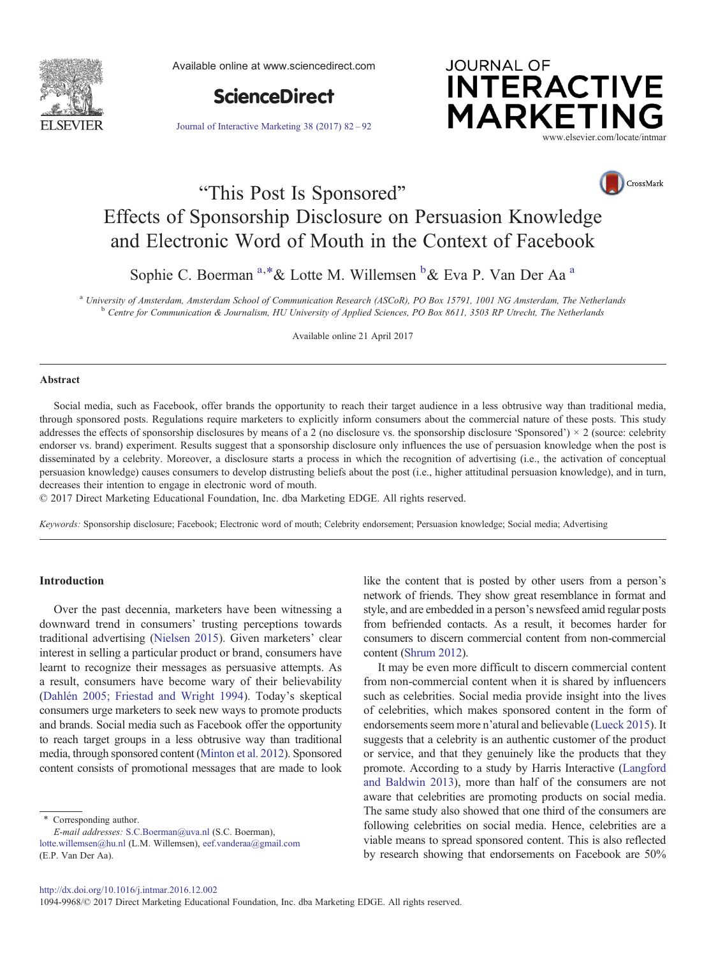

Available online at www.sciencedirect.com



[Journal of Interactive Marketing 38 \(2017\) 82](http://dx.doi.org/10.1016/j.intmar.2016.12.002)–92



CrossMark

# "This Post Is Sponsored" Effects of Sponsorship Disclosure on Persuasion Knowledge and Electronic Word of Mouth in the Context of Facebook

Sophie C. Boerman <sup>a,\*</sup>& Lotte M. Willemsen <sup>b</sup>& Eva P. Van Der Aa<sup>a</sup>

<sup>a</sup> University of Amsterdam, Amsterdam School of Communication Research (ASCoR), PO Box 15791, 1001 NG Amsterdam, The Netherlands<br><sup>b</sup> Centre for Communication & Journalism, HU University of Applied Sciences, PO Box 8611, 3

Available online 21 April 2017

#### Abstract

Social media, such as Facebook, offer brands the opportunity to reach their target audience in a less obtrusive way than traditional media, through sponsored posts. Regulations require marketers to explicitly inform consumers about the commercial nature of these posts. This study addresses the effects of sponsorship disclosures by means of a 2 (no disclosure vs. the sponsorship disclosure 'Sponsored')  $\times$  2 (source: celebrity endorser vs. brand) experiment. Results suggest that a sponsorship disclosure only influences the use of persuasion knowledge when the post is disseminated by a celebrity. Moreover, a disclosure starts a process in which the recognition of advertising (i.e., the activation of conceptual persuasion knowledge) causes consumers to develop distrusting beliefs about the post (i.e., higher attitudinal persuasion knowledge), and in turn, decreases their intention to engage in electronic word of mouth.

© 2017 Direct Marketing Educational Foundation, Inc. dba Marketing EDGE. All rights reserved.

Keywords: Sponsorship disclosure; Facebook; Electronic word of mouth; Celebrity endorsement; Persuasion knowledge; Social media; Advertising

#### Introduction

Over the past decennia, marketers have been witnessing a downward trend in consumers' trusting perceptions towards traditional advertising ([Nielsen 2015\)](#page-11-0). Given marketers' clear interest in selling a particular product or brand, consumers have learnt to recognize their messages as persuasive attempts. As a result, consumers have become wary of their believability ([Dahlén 2005; Friestad and Wright 1994](#page-10-0)). Today's skeptical consumers urge marketers to seek new ways to promote products and brands. Social media such as Facebook offer the opportunity to reach target groups in a less obtrusive way than traditional media, through sponsored content [\(Minton et al. 2012\)](#page-11-0). Sponsored content consists of promotional messages that are made to look

Corresponding author.

like the content that is posted by other users from a person's network of friends. They show great resemblance in format and style, and are embedded in a person's newsfeed amid regular posts from befriended contacts. As a result, it becomes harder for consumers to discern commercial content from non-commercial content ([Shrum 2012](#page-11-0)).

It may be even more difficult to discern commercial content from non-commercial content when it is shared by influencers such as celebrities. Social media provide insight into the lives of celebrities, which makes sponsored content in the form of endorsements seem more n'atural and believable ([Lueck 2015](#page-11-0)). It suggests that a celebrity is an authentic customer of the product or service, and that they genuinely like the products that they promote. According to a study by Harris Interactive ([Langford](#page-11-0) [and Baldwin 2013\)](#page-11-0), more than half of the consumers are not aware that celebrities are promoting products on social media. The same study also showed that one third of the consumers are following celebrities on social media. Hence, celebrities are a viable means to spread sponsored content. This is also reflected by research showing that endorsements on Facebook are 50%

E-mail addresses: [S.C.Boerman@uva.nl](mailto:S.C.Boerman@uva.nl) (S.C. Boerman),

[lotte.willemsen@hu.nl](mailto:lotte.willemsen@hu.nl) (L.M. Willemsen), [eef.vanderaa@gmail.com](mailto:eef.vanderaa@gmail.com) (E.P. Van Der Aa).

<sup>1094-9968/© 2017</sup> Direct Marketing Educational Foundation, Inc. dba Marketing EDGE. All rights reserved.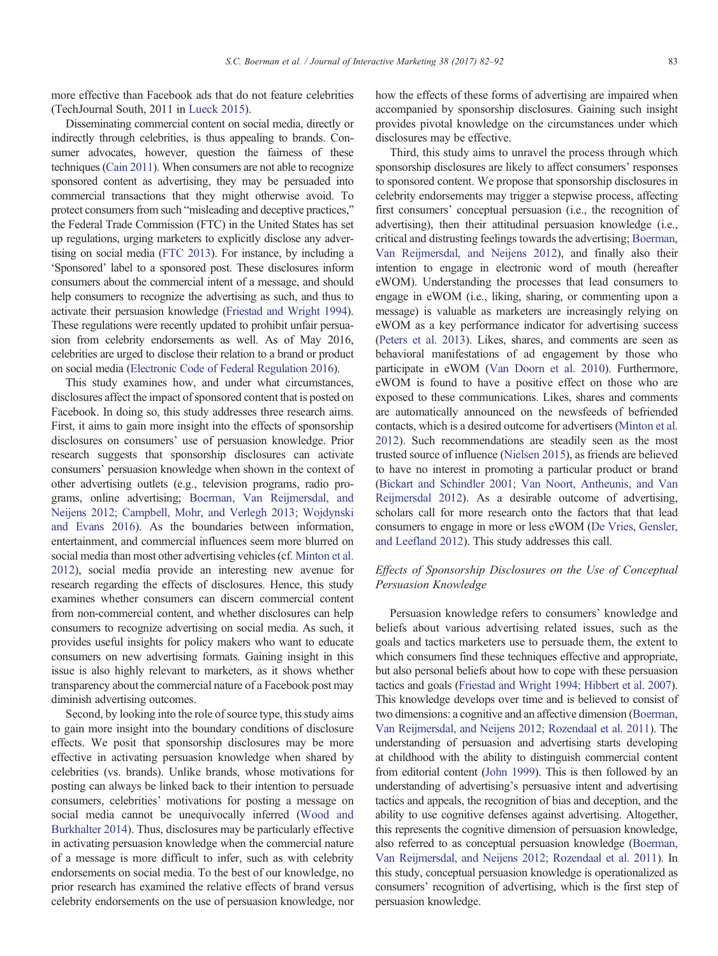more effective than Facebook ads that do not feature celebrities (TechJournal South, 2011 in [Lueck 2015](#page-11-0)).

Disseminating commercial content on social media, directly or indirectly through celebrities, is thus appealing to brands. Consumer advocates, however, question the fairness of these techniques [\(Cain 2011](#page-10-0)). When consumers are not able to recognize sponsored content as advertising, they may be persuaded into commercial transactions that they might otherwise avoid. To protect consumers from such "misleading and deceptive practices," the Federal Trade Commission (FTC) in the United States has set up regulations, urging marketers to explicitly disclose any advertising on social media ([FTC 2013](#page-10-0)). For instance, by including a 'Sponsored' label to a sponsored post. These disclosures inform consumers about the commercial intent of a message, and should help consumers to recognize the advertising as such, and thus to activate their persuasion knowledge ([Friestad and Wright 1994](#page-10-0)). These regulations were recently updated to prohibit unfair persuasion from celebrity endorsements as well. As of May 2016, celebrities are urged to disclose their relation to a brand or product on social media [\(Electronic Code of Federal Regulation 2016\)](#page-10-0).

This study examines how, and under what circumstances, disclosures affect the impact of sponsored content that is posted on Facebook. In doing so, this study addresses three research aims. First, it aims to gain more insight into the effects of sponsorship disclosures on consumers' use of persuasion knowledge. Prior research suggests that sponsorship disclosures can activate consumers' persuasion knowledge when shown in the context of other advertising outlets (e.g., television programs, radio programs, online advertising; [Boerman, Van Reijmersdal, and](#page-10-0) [Neijens 2012; Campbell, Mohr, and Verlegh 2013; Wojdynski](#page-10-0) [and Evans 2016](#page-10-0)). As the boundaries between information, entertainment, and commercial influences seem more blurred on social media than most other advertising vehicles (cf. [Minton et al.](#page-11-0) [2012\)](#page-11-0), social media provide an interesting new avenue for research regarding the effects of disclosures. Hence, this study examines whether consumers can discern commercial content from non-commercial content, and whether disclosures can help consumers to recognize advertising on social media. As such, it provides useful insights for policy makers who want to educate consumers on new advertising formats. Gaining insight in this issue is also highly relevant to marketers, as it shows whether transparency about the commercial nature of a Facebook post may diminish advertising outcomes.

Second, by looking into the role of source type, this study aims to gain more insight into the boundary conditions of disclosure effects. We posit that sponsorship disclosures may be more effective in activating persuasion knowledge when shared by celebrities (vs. brands). Unlike brands, whose motivations for posting can always be linked back to their intention to persuade consumers, celebrities' motivations for posting a message on social media cannot be unequivocally inferred [\(Wood and](#page-11-0) [Burkhalter 2014\)](#page-11-0). Thus, disclosures may be particularly effective in activating persuasion knowledge when the commercial nature of a message is more difficult to infer, such as with celebrity endorsements on social media. To the best of our knowledge, no prior research has examined the relative effects of brand versus celebrity endorsements on the use of persuasion knowledge, nor how the effects of these forms of advertising are impaired when accompanied by sponsorship disclosures. Gaining such insight provides pivotal knowledge on the circumstances under which disclosures may be effective.

Third, this study aims to unravel the process through which sponsorship disclosures are likely to affect consumers' responses to sponsored content. We propose that sponsorship disclosures in celebrity endorsements may trigger a stepwise process, affecting first consumers' conceptual persuasion (i.e., the recognition of advertising), then their attitudinal persuasion knowledge (i.e., critical and distrusting feelings towards the advertising; [Boerman,](#page-10-0) [Van Reijmersdal, and Neijens 2012](#page-10-0)), and finally also their intention to engage in electronic word of mouth (hereafter eWOM). Understanding the processes that lead consumers to engage in eWOM (i.e., liking, sharing, or commenting upon a message) is valuable as marketers are increasingly relying on eWOM as a key performance indicator for advertising success ([Peters et al. 2013](#page-11-0)). Likes, shares, and comments are seen as behavioral manifestations of ad engagement by those who participate in eWOM [\(Van Doorn et al. 2010\)](#page-11-0). Furthermore, eWOM is found to have a positive effect on those who are exposed to these communications. Likes, shares and comments are automatically announced on the newsfeeds of befriended contacts, which is a desired outcome for advertisers ([Minton et al.](#page-11-0) [2012\)](#page-11-0). Such recommendations are steadily seen as the most trusted source of influence [\(Nielsen 2015](#page-11-0)), as friends are believed to have no interest in promoting a particular product or brand ([Bickart and Schindler 2001; Van Noort, Antheunis, and Van](#page-10-0) [Reijmersdal 2012\)](#page-10-0). As a desirable outcome of advertising, scholars call for more research onto the factors that that lead consumers to engage in more or less eWOM ([De Vries, Gensler,](#page-10-0) [and Leefland 2012](#page-10-0)). This study addresses this call.

# Effects of Sponsorship Disclosures on the Use of Conceptual Persuasion Knowledge

Persuasion knowledge refers to consumers' knowledge and beliefs about various advertising related issues, such as the goals and tactics marketers use to persuade them, the extent to which consumers find these techniques effective and appropriate, but also personal beliefs about how to cope with these persuasion tactics and goals ([Friestad and Wright 1994; Hibbert et al. 2007](#page-10-0)). This knowledge develops over time and is believed to consist of two dimensions: a cognitive and an affective dimension [\(Boerman,](#page-10-0) [Van Reijmersdal, and Neijens 2012; Rozendaal et al. 2011](#page-10-0)). The understanding of persuasion and advertising starts developing at childhood with the ability to distinguish commercial content from editorial content ([John 1999\)](#page-11-0). This is then followed by an understanding of advertising's persuasive intent and advertising tactics and appeals, the recognition of bias and deception, and the ability to use cognitive defenses against advertising. Altogether, this represents the cognitive dimension of persuasion knowledge, also referred to as conceptual persuasion knowledge [\(Boerman,](#page-10-0) [Van Reijmersdal, and Neijens 2012; Rozendaal et al. 2011](#page-10-0)). In this study, conceptual persuasion knowledge is operationalized as consumers' recognition of advertising, which is the first step of persuasion knowledge.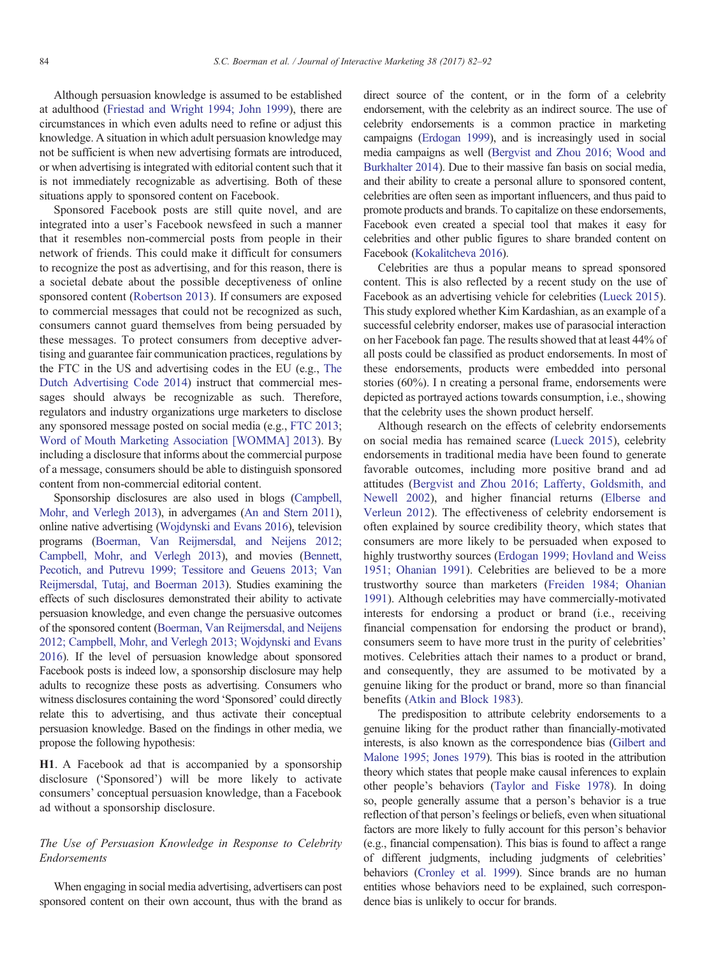Although persuasion knowledge is assumed to be established at adulthood [\(Friestad and Wright 1994; John 1999\)](#page-10-0), there are circumstances in which even adults need to refine or adjust this knowledge. A situation in which adult persuasion knowledge may not be sufficient is when new advertising formats are introduced, or when advertising is integrated with editorial content such that it is not immediately recognizable as advertising. Both of these situations apply to sponsored content on Facebook.

Sponsored Facebook posts are still quite novel, and are integrated into a user's Facebook newsfeed in such a manner that it resembles non-commercial posts from people in their network of friends. This could make it difficult for consumers to recognize the post as advertising, and for this reason, there is a societal debate about the possible deceptiveness of online sponsored content ([Robertson 2013](#page-11-0)). If consumers are exposed to commercial messages that could not be recognized as such, consumers cannot guard themselves from being persuaded by these messages. To protect consumers from deceptive advertising and guarantee fair communication practices, regulations by the FTC in the US and advertising codes in the EU (e.g., [The](#page-11-0) [Dutch Advertising Code 2014\)](#page-11-0) instruct that commercial messages should always be recognizable as such. Therefore, regulators and industry organizations urge marketers to disclose any sponsored message posted on social media (e.g., [FTC 2013](#page-10-0); [Word of Mouth Marketing Association \[WOMMA\] 2013](#page-11-0)). By including a disclosure that informs about the commercial purpose of a message, consumers should be able to distinguish sponsored content from non-commercial editorial content.

Sponsorship disclosures are also used in blogs [\(Campbell,](#page-10-0) [Mohr, and Verlegh 2013\)](#page-10-0), in advergames ([An and Stern 2011](#page-10-0)), online native advertising [\(Wojdynski and Evans 2016](#page-11-0)), television programs [\(Boerman, Van Reijmersdal, and Neijens 2012;](#page-10-0) [Campbell, Mohr, and Verlegh 2013\)](#page-10-0), and movies [\(Bennett,](#page-10-0) [Pecotich, and Putrevu 1999; Tessitore and Geuens 2013; Van](#page-10-0) [Reijmersdal, Tutaj, and Boerman 2013\)](#page-10-0). Studies examining the effects of such disclosures demonstrated their ability to activate persuasion knowledge, and even change the persuasive outcomes of the sponsored content ([Boerman, Van Reijmersdal, and Neijens](#page-10-0) [2012; Campbell, Mohr, and Verlegh 2013; Wojdynski and Evans](#page-10-0) [2016\)](#page-10-0). If the level of persuasion knowledge about sponsored Facebook posts is indeed low, a sponsorship disclosure may help adults to recognize these posts as advertising. Consumers who witness disclosures containing the word 'Sponsored' could directly relate this to advertising, and thus activate their conceptual persuasion knowledge. Based on the findings in other media, we propose the following hypothesis:

H1. A Facebook ad that is accompanied by a sponsorship disclosure ('Sponsored') will be more likely to activate consumers' conceptual persuasion knowledge, than a Facebook ad without a sponsorship disclosure.

# The Use of Persuasion Knowledge in Response to Celebrity Endorsements

When engaging in social media advertising, advertisers can post sponsored content on their own account, thus with the brand as direct source of the content, or in the form of a celebrity endorsement, with the celebrity as an indirect source. The use of celebrity endorsements is a common practice in marketing campaigns [\(Erdogan 1999](#page-10-0)), and is increasingly used in social media campaigns as well [\(Bergvist and Zhou 2016; Wood and](#page-10-0) [Burkhalter 2014\)](#page-10-0). Due to their massive fan basis on social media, and their ability to create a personal allure to sponsored content, celebrities are often seen as important influencers, and thus paid to promote products and brands. To capitalize on these endorsements, Facebook even created a special tool that makes it easy for celebrities and other public figures to share branded content on Facebook [\(Kokalitcheva 2016\)](#page-11-0).

Celebrities are thus a popular means to spread sponsored content. This is also reflected by a recent study on the use of Facebook as an advertising vehicle for celebrities [\(Lueck 2015](#page-11-0)). This study explored whether Kim Kardashian, as an example of a successful celebrity endorser, makes use of parasocial interaction on her Facebook fan page. The results showed that at least 44% of all posts could be classified as product endorsements. In most of these endorsements, products were embedded into personal stories (60%). I n creating a personal frame, endorsements were depicted as portrayed actions towards consumption, i.e., showing that the celebrity uses the shown product herself.

Although research on the effects of celebrity endorsements on social media has remained scarce [\(Lueck 2015\)](#page-11-0), celebrity endorsements in traditional media have been found to generate favorable outcomes, including more positive brand and ad attitudes ([Bergvist and Zhou 2016; Lafferty, Goldsmith, and](#page-10-0) [Newell 2002](#page-10-0)), and higher financial returns ([Elberse and](#page-10-0) [Verleun 2012](#page-10-0)). The effectiveness of celebrity endorsement is often explained by source credibility theory, which states that consumers are more likely to be persuaded when exposed to highly trustworthy sources [\(Erdogan 1999; Hovland and Weiss](#page-10-0) [1951; Ohanian 1991\)](#page-10-0). Celebrities are believed to be a more trustworthy source than marketers ([Freiden 1984; Ohanian](#page-10-0) [1991\)](#page-10-0). Although celebrities may have commercially-motivated interests for endorsing a product or brand (i.e., receiving financial compensation for endorsing the product or brand), consumers seem to have more trust in the purity of celebrities' motives. Celebrities attach their names to a product or brand, and consequently, they are assumed to be motivated by a genuine liking for the product or brand, more so than financial benefits [\(Atkin and Block 1983\)](#page-10-0).

The predisposition to attribute celebrity endorsements to a genuine liking for the product rather than financially-motivated interests, is also known as the correspondence bias ([Gilbert and](#page-10-0) [Malone 1995; Jones 1979](#page-10-0)). This bias is rooted in the attribution theory which states that people make causal inferences to explain other people's behaviors [\(Taylor and Fiske 1978](#page-11-0)). In doing so, people generally assume that a person's behavior is a true reflection of that person's feelings or beliefs, even when situational factors are more likely to fully account for this person's behavior (e.g., financial compensation). This bias is found to affect a range of different judgments, including judgments of celebrities' behaviors ([Cronley et al. 1999\)](#page-10-0). Since brands are no human entities whose behaviors need to be explained, such correspondence bias is unlikely to occur for brands.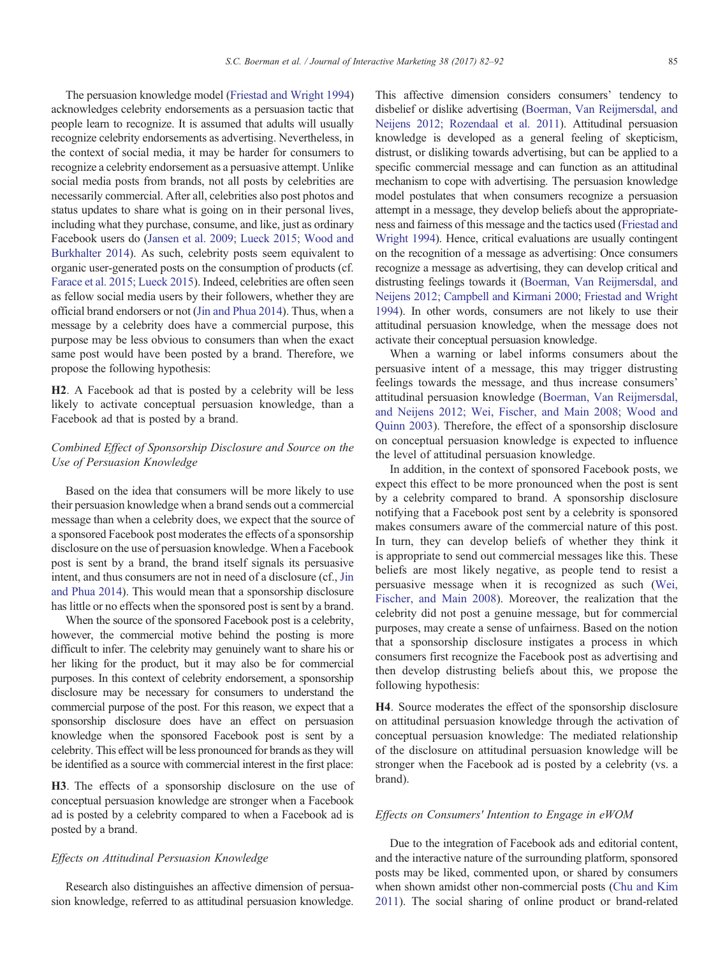The persuasion knowledge model [\(Friestad and Wright 1994](#page-10-0)) acknowledges celebrity endorsements as a persuasion tactic that people learn to recognize. It is assumed that adults will usually recognize celebrity endorsements as advertising. Nevertheless, in the context of social media, it may be harder for consumers to recognize a celebrity endorsement as a persuasive attempt. Unlike social media posts from brands, not all posts by celebrities are necessarily commercial. After all, celebrities also post photos and status updates to share what is going on in their personal lives, including what they purchase, consume, and like, just as ordinary Facebook users do ([Jansen et al. 2009; Lueck 2015; Wood and](#page-10-0) [Burkhalter 2014](#page-10-0)). As such, celebrity posts seem equivalent to organic user-generated posts on the consumption of products (cf. [Farace et al. 2015; Lueck 2015\)](#page-10-0). Indeed, celebrities are often seen as fellow social media users by their followers, whether they are official brand endorsers or not [\(Jin and Phua 2014](#page-11-0)). Thus, when a message by a celebrity does have a commercial purpose, this purpose may be less obvious to consumers than when the exact same post would have been posted by a brand. Therefore, we propose the following hypothesis:

H2. A Facebook ad that is posted by a celebrity will be less likely to activate conceptual persuasion knowledge, than a Facebook ad that is posted by a brand.

# Combined Effect of Sponsorship Disclosure and Source on the Use of Persuasion Knowledge

Based on the idea that consumers will be more likely to use their persuasion knowledge when a brand sends out a commercial message than when a celebrity does, we expect that the source of a sponsored Facebook post moderates the effects of a sponsorship disclosure on the use of persuasion knowledge. When a Facebook post is sent by a brand, the brand itself signals its persuasive intent, and thus consumers are not in need of a disclosure (cf., [Jin](#page-11-0) [and Phua 2014](#page-11-0)). This would mean that a sponsorship disclosure has little or no effects when the sponsored post is sent by a brand.

When the source of the sponsored Facebook post is a celebrity, however, the commercial motive behind the posting is more difficult to infer. The celebrity may genuinely want to share his or her liking for the product, but it may also be for commercial purposes. In this context of celebrity endorsement, a sponsorship disclosure may be necessary for consumers to understand the commercial purpose of the post. For this reason, we expect that a sponsorship disclosure does have an effect on persuasion knowledge when the sponsored Facebook post is sent by a celebrity. This effect will be less pronounced for brands as they will be identified as a source with commercial interest in the first place:

H3. The effects of a sponsorship disclosure on the use of conceptual persuasion knowledge are stronger when a Facebook ad is posted by a celebrity compared to when a Facebook ad is posted by a brand.

### Effects on Attitudinal Persuasion Knowledge

Research also distinguishes an affective dimension of persuasion knowledge, referred to as attitudinal persuasion knowledge. This affective dimension considers consumers' tendency to disbelief or dislike advertising [\(Boerman, Van Reijmersdal, and](#page-10-0) [Neijens 2012; Rozendaal et al. 2011\)](#page-10-0). Attitudinal persuasion knowledge is developed as a general feeling of skepticism, distrust, or disliking towards advertising, but can be applied to a specific commercial message and can function as an attitudinal mechanism to cope with advertising. The persuasion knowledge model postulates that when consumers recognize a persuasion attempt in a message, they develop beliefs about the appropriateness and fairness of this message and the tactics used [\(Friestad and](#page-10-0) [Wright 1994](#page-10-0)). Hence, critical evaluations are usually contingent on the recognition of a message as advertising: Once consumers recognize a message as advertising, they can develop critical and distrusting feelings towards it [\(Boerman, Van Reijmersdal, and](#page-10-0) [Neijens 2012; Campbell and Kirmani 2000; Friestad and Wright](#page-10-0) [1994\)](#page-10-0). In other words, consumers are not likely to use their attitudinal persuasion knowledge, when the message does not activate their conceptual persuasion knowledge.

When a warning or label informs consumers about the persuasive intent of a message, this may trigger distrusting feelings towards the message, and thus increase consumers' attitudinal persuasion knowledge [\(Boerman, Van Reijmersdal,](#page-10-0) [and Neijens 2012; Wei, Fischer, and Main 2008; Wood and](#page-10-0) [Quinn 2003](#page-10-0)). Therefore, the effect of a sponsorship disclosure on conceptual persuasion knowledge is expected to influence the level of attitudinal persuasion knowledge.

In addition, in the context of sponsored Facebook posts, we expect this effect to be more pronounced when the post is sent by a celebrity compared to brand. A sponsorship disclosure notifying that a Facebook post sent by a celebrity is sponsored makes consumers aware of the commercial nature of this post. In turn, they can develop beliefs of whether they think it is appropriate to send out commercial messages like this. These beliefs are most likely negative, as people tend to resist a persuasive message when it is recognized as such ([Wei,](#page-11-0) [Fischer, and Main 2008\)](#page-11-0). Moreover, the realization that the celebrity did not post a genuine message, but for commercial purposes, may create a sense of unfairness. Based on the notion that a sponsorship disclosure instigates a process in which consumers first recognize the Facebook post as advertising and then develop distrusting beliefs about this, we propose the following hypothesis:

H4. Source moderates the effect of the sponsorship disclosure on attitudinal persuasion knowledge through the activation of conceptual persuasion knowledge: The mediated relationship of the disclosure on attitudinal persuasion knowledge will be stronger when the Facebook ad is posted by a celebrity (vs. a brand).

#### Effects on Consumers' Intention to Engage in eWOM

Due to the integration of Facebook ads and editorial content, and the interactive nature of the surrounding platform, sponsored posts may be liked, commented upon, or shared by consumers when shown amidst other non-commercial posts ([Chu and Kim](#page-10-0) [2011](#page-10-0)). The social sharing of online product or brand-related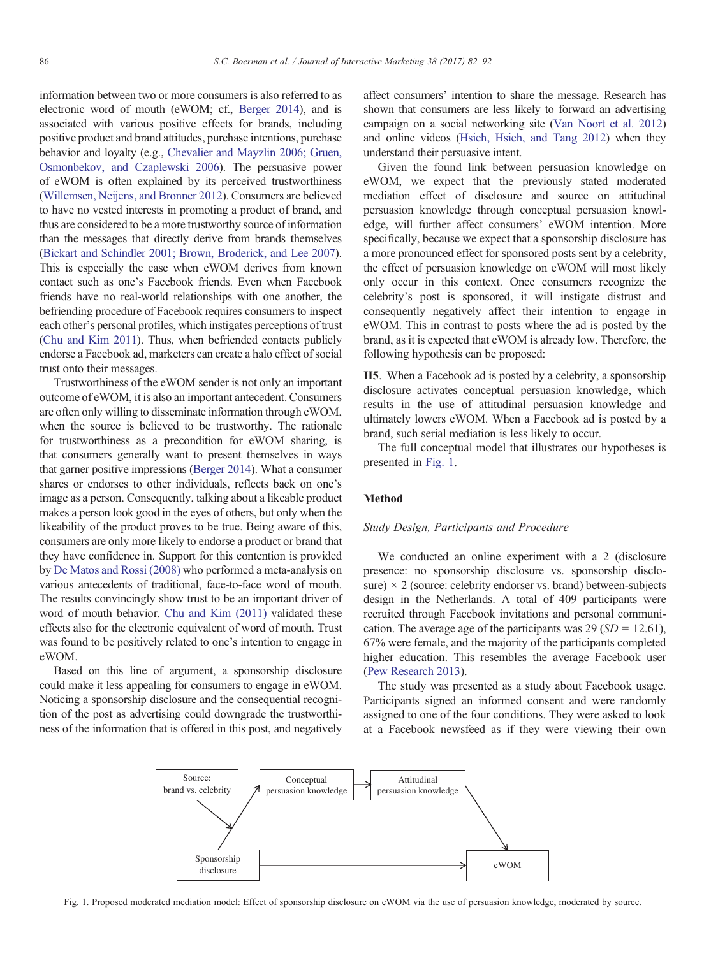<span id="page-5-0"></span>information between two or more consumers is also referred to as electronic word of mouth (eWOM; cf., [Berger 2014](#page-10-0)), and is associated with various positive effects for brands, including positive product and brand attitudes, purchase intentions, purchase behavior and loyalty (e.g., [Chevalier and Mayzlin 2006; Gruen,](#page-10-0) [Osmonbekov, and Czaplewski 2006\)](#page-10-0). The persuasive power of eWOM is often explained by its perceived trustworthiness ([Willemsen, Neijens, and Bronner 2012\)](#page-11-0). Consumers are believed to have no vested interests in promoting a product of brand, and thus are considered to be a more trustworthy source of information than the messages that directly derive from brands themselves ([Bickart and Schindler 2001; Brown, Broderick, and Lee 2007](#page-10-0)). This is especially the case when eWOM derives from known contact such as one's Facebook friends. Even when Facebook friends have no real-world relationships with one another, the befriending procedure of Facebook requires consumers to inspect each other's personal profiles, which instigates perceptions of trust ([Chu and Kim 2011\)](#page-10-0). Thus, when befriended contacts publicly endorse a Facebook ad, marketers can create a halo effect of social trust onto their messages.

Trustworthiness of the eWOM sender is not only an important outcome of eWOM, it is also an important antecedent. Consumers are often only willing to disseminate information through eWOM, when the source is believed to be trustworthy. The rationale for trustworthiness as a precondition for eWOM sharing, is that consumers generally want to present themselves in ways that garner positive impressions [\(Berger 2014](#page-10-0)). What a consumer shares or endorses to other individuals, reflects back on one's image as a person. Consequently, talking about a likeable product makes a person look good in the eyes of others, but only when the likeability of the product proves to be true. Being aware of this, consumers are only more likely to endorse a product or brand that they have confidence in. Support for this contention is provided by [De Matos and Rossi \(2008\)](#page-10-0) who performed a meta-analysis on various antecedents of traditional, face-to-face word of mouth. The results convincingly show trust to be an important driver of word of mouth behavior. [Chu and Kim \(2011\)](#page-10-0) validated these effects also for the electronic equivalent of word of mouth. Trust was found to be positively related to one's intention to engage in eWOM.

Based on this line of argument, a sponsorship disclosure could make it less appealing for consumers to engage in eWOM. Noticing a sponsorship disclosure and the consequential recognition of the post as advertising could downgrade the trustworthiness of the information that is offered in this post, and negatively affect consumers' intention to share the message. Research has shown that consumers are less likely to forward an advertising campaign on a social networking site [\(Van Noort et al. 2012\)](#page-11-0) and online videos ([Hsieh, Hsieh, and Tang 2012\)](#page-10-0) when they understand their persuasive intent.

Given the found link between persuasion knowledge on eWOM, we expect that the previously stated moderated mediation effect of disclosure and source on attitudinal persuasion knowledge through conceptual persuasion knowledge, will further affect consumers' eWOM intention. More specifically, because we expect that a sponsorship disclosure has a more pronounced effect for sponsored posts sent by a celebrity, the effect of persuasion knowledge on eWOM will most likely only occur in this context. Once consumers recognize the celebrity's post is sponsored, it will instigate distrust and consequently negatively affect their intention to engage in eWOM. This in contrast to posts where the ad is posted by the brand, as it is expected that eWOM is already low. Therefore, the following hypothesis can be proposed:

H5. When a Facebook ad is posted by a celebrity, a sponsorship disclosure activates conceptual persuasion knowledge, which results in the use of attitudinal persuasion knowledge and ultimately lowers eWOM. When a Facebook ad is posted by a brand, such serial mediation is less likely to occur.

The full conceptual model that illustrates our hypotheses is presented in Fig. 1.

#### Method

#### Study Design, Participants and Procedure

We conducted an online experiment with a 2 (disclosure presence: no sponsorship disclosure vs. sponsorship disclosure)  $\times$  2 (source: celebrity endorser vs. brand) between-subjects design in the Netherlands. A total of 409 participants were recruited through Facebook invitations and personal communication. The average age of the participants was  $29 (SD = 12.61)$ , 67% were female, and the majority of the participants completed higher education. This resembles the average Facebook user ([Pew Research 2013](#page-11-0)).

The study was presented as a study about Facebook usage. Participants signed an informed consent and were randomly assigned to one of the four conditions. They were asked to look at a Facebook newsfeed as if they were viewing their own



Fig. 1. Proposed moderated mediation model: Effect of sponsorship disclosure on eWOM via the use of persuasion knowledge, moderated by source.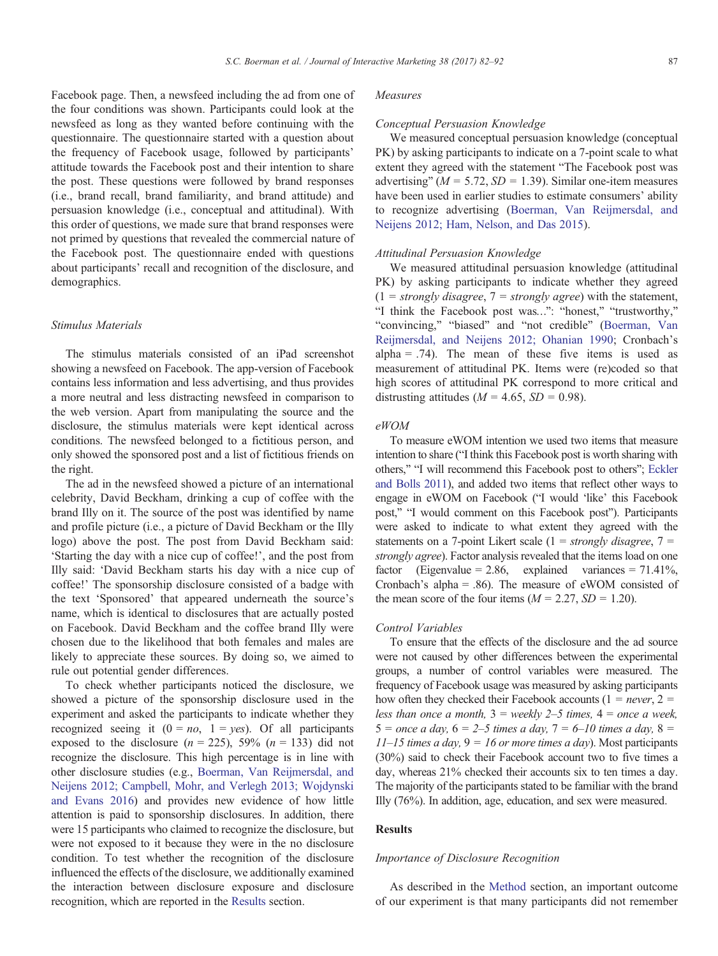Facebook page. Then, a newsfeed including the ad from one of the four conditions was shown. Participants could look at the newsfeed as long as they wanted before continuing with the questionnaire. The questionnaire started with a question about the frequency of Facebook usage, followed by participants' attitude towards the Facebook post and their intention to share the post. These questions were followed by brand responses (i.e., brand recall, brand familiarity, and brand attitude) and persuasion knowledge (i.e., conceptual and attitudinal). With this order of questions, we made sure that brand responses were not primed by questions that revealed the commercial nature of the Facebook post. The questionnaire ended with questions about participants' recall and recognition of the disclosure, and demographics.

## Stimulus Materials

The stimulus materials consisted of an iPad screenshot showing a newsfeed on Facebook. The app-version of Facebook contains less information and less advertising, and thus provides a more neutral and less distracting newsfeed in comparison to the web version. Apart from manipulating the source and the disclosure, the stimulus materials were kept identical across conditions. The newsfeed belonged to a fictitious person, and only showed the sponsored post and a list of fictitious friends on the right.

The ad in the newsfeed showed a picture of an international celebrity, David Beckham, drinking a cup of coffee with the brand Illy on it. The source of the post was identified by name and profile picture (i.e., a picture of David Beckham or the Illy logo) above the post. The post from David Beckham said: 'Starting the day with a nice cup of coffee!', and the post from Illy said: 'David Beckham starts his day with a nice cup of coffee!' The sponsorship disclosure consisted of a badge with the text 'Sponsored' that appeared underneath the source's name, which is identical to disclosures that are actually posted on Facebook. David Beckham and the coffee brand Illy were chosen due to the likelihood that both females and males are likely to appreciate these sources. By doing so, we aimed to rule out potential gender differences.

To check whether participants noticed the disclosure, we showed a picture of the sponsorship disclosure used in the experiment and asked the participants to indicate whether they recognized seeing it  $(0 = no, 1 = yes)$ . Of all participants exposed to the disclosure  $(n = 225)$ , 59%  $(n = 133)$  did not recognize the disclosure. This high percentage is in line with other disclosure studies (e.g., [Boerman, Van Reijmersdal, and](#page-10-0) [Neijens 2012; Campbell, Mohr, and Verlegh 2013; Wojdynski](#page-10-0) [and Evans 2016](#page-10-0)) and provides new evidence of how little attention is paid to sponsorship disclosures. In addition, there were 15 participants who claimed to recognize the disclosure, but were not exposed to it because they were in the no disclosure condition. To test whether the recognition of the disclosure influenced the effects of the disclosure, we additionally examined the interaction between disclosure exposure and disclosure recognition, which are reported in the Results section.

#### Measures

#### Conceptual Persuasion Knowledge

We measured conceptual persuasion knowledge (conceptual PK) by asking participants to indicate on a 7-point scale to what extent they agreed with the statement "The Facebook post was advertising" ( $M = 5.72$ ,  $SD = 1.39$ ). Similar one-item measures have been used in earlier studies to estimate consumers' ability to recognize advertising ([Boerman, Van Reijmersdal, and](#page-10-0) [Neijens 2012; Ham, Nelson, and Das 2015](#page-10-0)).

#### Attitudinal Persuasion Knowledge

We measured attitudinal persuasion knowledge (attitudinal PK) by asking participants to indicate whether they agreed  $(1 = strongly disagree, 7 = strongly agree)$  with the statement, "I think the Facebook post was…": "honest," "trustworthy," "convincing," "biased" and "not credible" [\(Boerman, Van](#page-10-0) [Reijmersdal, and Neijens 2012; Ohanian 1990;](#page-10-0) Cronbach's alpha  $=$  .74). The mean of these five items is used as measurement of attitudinal PK. Items were (re)coded so that high scores of attitudinal PK correspond to more critical and distrusting attitudes ( $M = 4.65$ ,  $SD = 0.98$ ).

#### eWOM

To measure eWOM intention we used two items that measure intention to share ("I think this Facebook post is worth sharing with others," "I will recommend this Facebook post to others"; [Eckler](#page-10-0) [and Bolls 2011](#page-10-0)), and added two items that reflect other ways to engage in eWOM on Facebook ("I would 'like' this Facebook post," "I would comment on this Facebook post"). Participants were asked to indicate to what extent they agreed with the statements on a 7-point Likert scale ( $1 =$  strongly disagree,  $7 =$ strongly agree). Factor analysis revealed that the items load on one factor (Eigenvalue = 2.86, explained variances =  $71.41\%$ , Cronbach's alpha = .86). The measure of eWOM consisted of the mean score of the four items ( $M = 2.27$ ,  $SD = 1.20$ ).

#### Control Variables

To ensure that the effects of the disclosure and the ad source were not caused by other differences between the experimental groups, a number of control variables were measured. The frequency of Facebook usage was measured by asking participants how often they checked their Facebook accounts ( $1 = never, 2 =$ less than once a month,  $3$  = weekly 2–5 times,  $4$  = once a week,  $5 = once \space a \space day, \space 6 = 2-5 \space times \space a \space day, \space 7 = 6-10 \space times \space a \space day, \space 8 = 6 \space times \space at \space 10 \space times \space at \space 10 \space times \space at \space 10 \space times \space at \space 10 \space times \space at \space 10 \space times \space at \space 10 \space times \space at \space 10 \space times \space at \space 10 \space times \space at \space 10 \space times \space at \space 10 \space times \space at \space 10 \space times \space at \space 10 \space times \space at \space 10 \space times \space at \space 10 \space times \space at \space 1$  $11-15$  times a day,  $9 = 16$  or more times a day). Most participants (30%) said to check their Facebook account two to five times a day, whereas 21% checked their accounts six to ten times a day. The majority of the participants stated to be familiar with the brand Illy (76%). In addition, age, education, and sex were measured.

### Results

#### Importance of Disclosure Recognition

As described in the [Method](#page-5-0) section, an important outcome of our experiment is that many participants did not remember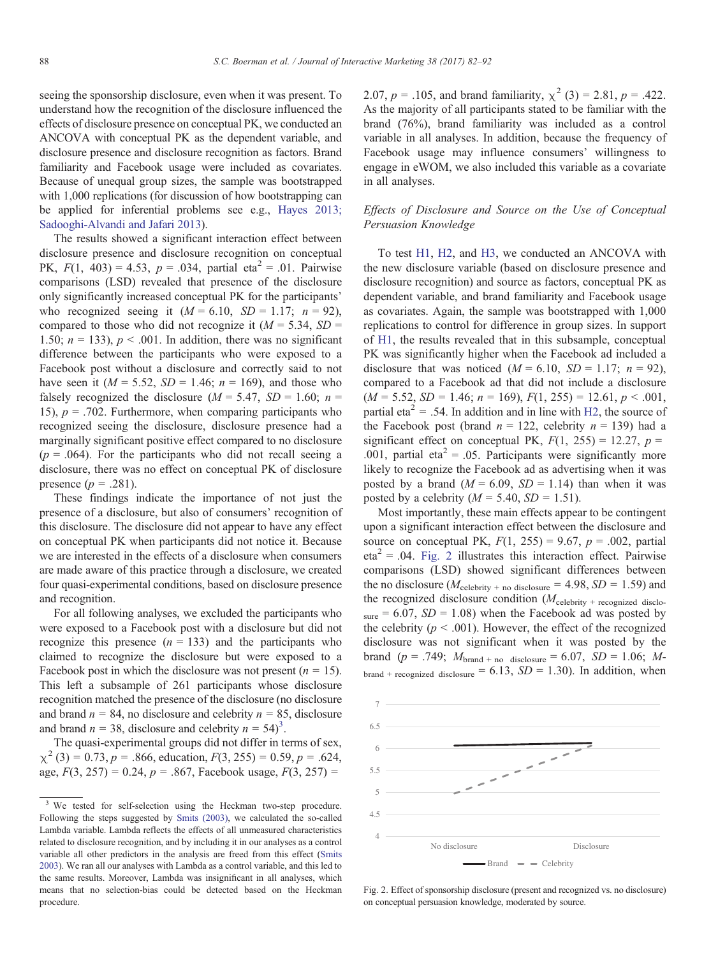seeing the sponsorship disclosure, even when it was present. To understand how the recognition of the disclosure influenced the effects of disclosure presence on conceptual PK, we conducted an ANCOVA with conceptual PK as the dependent variable, and disclosure presence and disclosure recognition as factors. Brand familiarity and Facebook usage were included as covariates. Because of unequal group sizes, the sample was bootstrapped with 1,000 replications (for discussion of how bootstrapping can be applied for inferential problems see e.g., [Hayes 2013;](#page-10-0) [Sadooghi-Alvandi and Jafari 2013\)](#page-10-0).

The results showed a significant interaction effect between disclosure presence and disclosure recognition on conceptual PK,  $F(1, 403) = 4.53$ ,  $p = .034$ , partial eta<sup>2</sup> = .01. Pairwise comparisons (LSD) revealed that presence of the disclosure only significantly increased conceptual PK for the participants' who recognized seeing it  $(M = 6.10, SD = 1.17; n = 92)$ , compared to those who did not recognize it  $(M = 5.34, SD =$ 1.50;  $n = 133$ ),  $p < .001$ . In addition, there was no significant difference between the participants who were exposed to a Facebook post without a disclosure and correctly said to not have seen it ( $M = 5.52$ ,  $SD = 1.46$ ;  $n = 169$ ), and those who falsely recognized the disclosure ( $M = 5.47$ ,  $SD = 1.60$ ;  $n =$ 15),  $p = .702$ . Furthermore, when comparing participants who recognized seeing the disclosure, disclosure presence had a marginally significant positive effect compared to no disclosure  $(p = .064)$ . For the participants who did not recall seeing a disclosure, there was no effect on conceptual PK of disclosure presence  $(p = .281)$ .

These findings indicate the importance of not just the presence of a disclosure, but also of consumers' recognition of this disclosure. The disclosure did not appear to have any effect on conceptual PK when participants did not notice it. Because we are interested in the effects of a disclosure when consumers are made aware of this practice through a disclosure, we created four quasi-experimental conditions, based on disclosure presence and recognition.

For all following analyses, we excluded the participants who were exposed to a Facebook post with a disclosure but did not recognize this presence  $(n = 133)$  and the participants who claimed to recognize the disclosure but were exposed to a Facebook post in which the disclosure was not present  $(n = 15)$ . This left a subsample of 261 participants whose disclosure recognition matched the presence of the disclosure (no disclosure and brand  $n = 84$ , no disclosure and celebrity  $n = 85$ , disclosure and brand  $n = 38$ , disclosure and celebrity  $n = 54$ <sup>3</sup>.

The quasi-experimental groups did not differ in terms of sex,  $\chi^2$  (3) = 0.73, p = .866, education,  $F(3, 255) = 0.59$ , p = .624, age,  $F(3, 257) = 0.24$ ,  $p = .867$ , Facebook usage,  $F(3, 257) =$ 

2.07,  $p = .105$ , and brand familiarity,  $\chi^2$  (3) = 2.81,  $p = .422$ . As the majority of all participants stated to be familiar with the brand (76%), brand familiarity was included as a control variable in all analyses. In addition, because the frequency of Facebook usage may influence consumers' willingness to engage in eWOM, we also included this variable as a covariate in all analyses.

# Effects of Disclosure and Source on the Use of Conceptual Persuasion Knowledge

To test H1, H2, and H3, we conducted an ANCOVA with the new disclosure variable (based on disclosure presence and disclosure recognition) and source as factors, conceptual PK as dependent variable, and brand familiarity and Facebook usage as covariates. Again, the sample was bootstrapped with 1,000 replications to control for difference in group sizes. In support of H1, the results revealed that in this subsample, conceptual PK was significantly higher when the Facebook ad included a disclosure that was noticed  $(M = 6.10, SD = 1.17; n = 92)$ , compared to a Facebook ad that did not include a disclosure  $(M = 5.52, SD = 1.46; n = 169), F(1, 255) = 12.61, p < .001,$ partial eta<sup>2</sup> = .54. In addition and in line with H2, the source of the Facebook post (brand  $n = 122$ , celebrity  $n = 139$ ) had a significant effect on conceptual PK,  $F(1, 255) = 12.27$ ,  $p =$ .001, partial eta<sup>2</sup> = .05. Participants were significantly more likely to recognize the Facebook ad as advertising when it was posted by a brand  $(M = 6.09, SD = 1.14)$  than when it was posted by a celebrity ( $M = 5.40$ ,  $SD = 1.51$ ).

Most importantly, these main effects appear to be contingent upon a significant interaction effect between the disclosure and source on conceptual PK,  $F(1, 255) = 9.67$ ,  $p = .002$ , partial  $eta^2 = .04$ . Fig. 2 illustrates this interaction effect. Pairwise comparisons (LSD) showed significant differences between the no disclosure  $(M_{\text{celepriv} + \text{no disclosure}} = 4.98, SD = 1.59)$  and the recognized disclosure condition  $(M_{\text{celebrity}} + \text{recognized disclo-}$  $s_{\text{sure}} = 6.07$ ,  $SD = 1.08$ ) when the Facebook ad was posted by the celebrity ( $p < .001$ ). However, the effect of the recognized disclosure was not significant when it was posted by the brand ( $p = .749$ ;  $M_{\text{brand + no}}$  disclosure = 6.07,  $SD = 1.06$ ;  $M$ brand + recognized disclosure = 6.13,  $SD = 1.30$ ). In addition, when



Fig. 2. Effect of sponsorship disclosure (present and recognized vs. no disclosure) on conceptual persuasion knowledge, moderated by source.

<sup>&</sup>lt;sup>3</sup> We tested for self-selection using the Heckman two-step procedure. Following the steps suggested by [Smits \(2003\)](#page-11-0), we calculated the so-called Lambda variable. Lambda reflects the effects of all unmeasured characteristics related to disclosure recognition, and by including it in our analyses as a control variable all other predictors in the analysis are freed from this effect ([Smits](#page-11-0) [2003\)](#page-11-0). We ran all our analyses with Lambda as a control variable, and this led to the same results. Moreover, Lambda was insignificant in all analyses, which means that no selection-bias could be detected based on the Heckman procedure.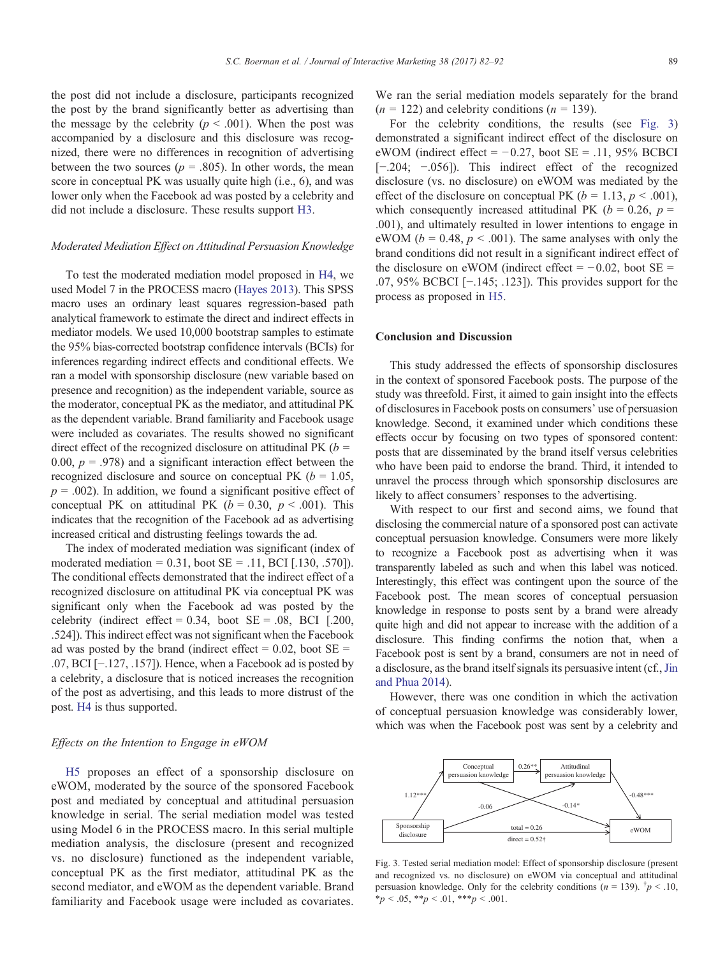the post did not include a disclosure, participants recognized the post by the brand significantly better as advertising than the message by the celebrity ( $p < .001$ ). When the post was accompanied by a disclosure and this disclosure was recognized, there were no differences in recognition of advertising between the two sources ( $p = .805$ ). In other words, the mean score in conceptual PK was usually quite high (i.e., 6), and was lower only when the Facebook ad was posted by a celebrity and did not include a disclosure. These results support H3.

# Moderated Mediation Effect on Attitudinal Persuasion Knowledge

To test the moderated mediation model proposed in H4, we used Model 7 in the PROCESS macro ([Hayes 2013\)](#page-10-0). This SPSS macro uses an ordinary least squares regression-based path analytical framework to estimate the direct and indirect effects in mediator models. We used 10,000 bootstrap samples to estimate the 95% bias-corrected bootstrap confidence intervals (BCIs) for inferences regarding indirect effects and conditional effects. We ran a model with sponsorship disclosure (new variable based on presence and recognition) as the independent variable, source as the moderator, conceptual PK as the mediator, and attitudinal PK as the dependent variable. Brand familiarity and Facebook usage were included as covariates. The results showed no significant direct effect of the recognized disclosure on attitudinal PK ( $b =$ 0.00,  $p = 0.978$ ) and a significant interaction effect between the recognized disclosure and source on conceptual PK ( $b = 1.05$ ,  $p = .002$ ). In addition, we found a significant positive effect of conceptual PK on attitudinal PK ( $b = 0.30$ ,  $p < .001$ ). This indicates that the recognition of the Facebook ad as advertising increased critical and distrusting feelings towards the ad.

The index of moderated mediation was significant (index of moderated mediation =  $0.31$ , boot SE = .11, BCI [.130, .570]). The conditional effects demonstrated that the indirect effect of a recognized disclosure on attitudinal PK via conceptual PK was significant only when the Facebook ad was posted by the celebrity (indirect effect  $= 0.34$ , boot  $SE = .08$ , BCI [.200, .524]). This indirect effect was not significant when the Facebook ad was posted by the brand (indirect effect  $= 0.02$ , boot  $SE =$ .07, BCI [−.127, .157]). Hence, when a Facebook ad is posted by a celebrity, a disclosure that is noticed increases the recognition of the post as advertising, and this leads to more distrust of the post. H4 is thus supported.

#### Effects on the Intention to Engage in eWOM

H5 proposes an effect of a sponsorship disclosure on eWOM, moderated by the source of the sponsored Facebook post and mediated by conceptual and attitudinal persuasion knowledge in serial. The serial mediation model was tested using Model 6 in the PROCESS macro. In this serial multiple mediation analysis, the disclosure (present and recognized vs. no disclosure) functioned as the independent variable, conceptual PK as the first mediator, attitudinal PK as the second mediator, and eWOM as the dependent variable. Brand familiarity and Facebook usage were included as covariates.

We ran the serial mediation models separately for the brand  $(n = 122)$  and celebrity conditions  $(n = 139)$ .

For the celebrity conditions, the results (see Fig. 3) demonstrated a significant indirect effect of the disclosure on eWOM (indirect effect =  $-0.27$ , boot SE = .11, 95% BCBCI [−.204; −.056]). This indirect effect of the recognized disclosure (vs. no disclosure) on eWOM was mediated by the effect of the disclosure on conceptual PK ( $b = 1.13$ ,  $p < .001$ ), which consequently increased attitudinal PK ( $b = 0.26$ ,  $p =$ .001), and ultimately resulted in lower intentions to engage in eWOM ( $b = 0.48$ ,  $p < .001$ ). The same analyses with only the brand conditions did not result in a significant indirect effect of the disclosure on eWOM (indirect effect =  $-0.02$ , boot SE = .07, 95% BCBCI [−.145; .123]). This provides support for the process as proposed in H5.

#### Conclusion and Discussion

This study addressed the effects of sponsorship disclosures in the context of sponsored Facebook posts. The purpose of the study was threefold. First, it aimed to gain insight into the effects of disclosures in Facebook posts on consumers' use of persuasion knowledge. Second, it examined under which conditions these effects occur by focusing on two types of sponsored content: posts that are disseminated by the brand itself versus celebrities who have been paid to endorse the brand. Third, it intended to unravel the process through which sponsorship disclosures are likely to affect consumers' responses to the advertising.

With respect to our first and second aims, we found that disclosing the commercial nature of a sponsored post can activate conceptual persuasion knowledge. Consumers were more likely to recognize a Facebook post as advertising when it was transparently labeled as such and when this label was noticed. Interestingly, this effect was contingent upon the source of the Facebook post. The mean scores of conceptual persuasion knowledge in response to posts sent by a brand were already quite high and did not appear to increase with the addition of a disclosure. This finding confirms the notion that, when a Facebook post is sent by a brand, consumers are not in need of a disclosure, as the brand itself signals its persuasive intent (cf.,[Jin](#page-11-0) [and Phua 2014\)](#page-11-0).

However, there was one condition in which the activation of conceptual persuasion knowledge was considerably lower, which was when the Facebook post was sent by a celebrity and



Fig. 3. Tested serial mediation model: Effect of sponsorship disclosure (present and recognized vs. no disclosure) on eWOM via conceptual and attitudinal persuasion knowledge. Only for the celebrity conditions  $(n = 139)$ .  $^{\dagger}p < .10$ ,  $*_{p}$  < .05,  $*_{p}$  < .01,  $*_{p}$  < .001.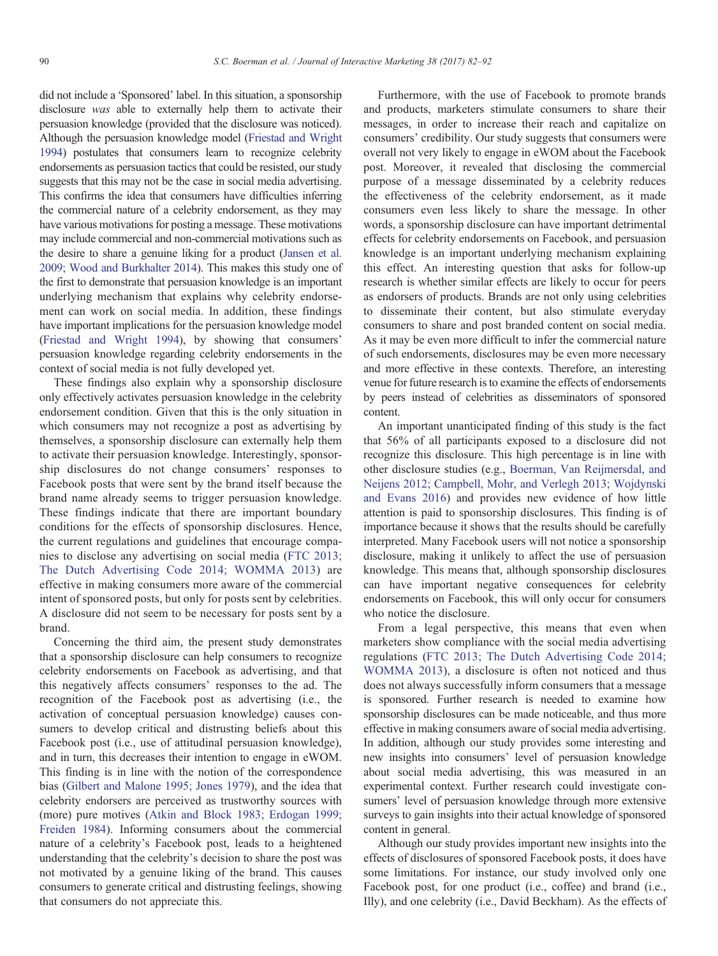did not include a 'Sponsored' label. In this situation, a sponsorship disclosure was able to externally help them to activate their persuasion knowledge (provided that the disclosure was noticed). Although the persuasion knowledge model [\(Friestad and Wright](#page-10-0) [1994\)](#page-10-0) postulates that consumers learn to recognize celebrity endorsements as persuasion tactics that could be resisted, our study suggests that this may not be the case in social media advertising. This confirms the idea that consumers have difficulties inferring the commercial nature of a celebrity endorsement, as they may have various motivations for posting a message. These motivations may include commercial and non-commercial motivations such as the desire to share a genuine liking for a product [\(Jansen et al.](#page-10-0) [2009; Wood and Burkhalter 2014](#page-10-0)). This makes this study one of the first to demonstrate that persuasion knowledge is an important underlying mechanism that explains why celebrity endorsement can work on social media. In addition, these findings have important implications for the persuasion knowledge model ([Friestad and Wright 1994\)](#page-10-0), by showing that consumers' persuasion knowledge regarding celebrity endorsements in the context of social media is not fully developed yet.

These findings also explain why a sponsorship disclosure only effectively activates persuasion knowledge in the celebrity endorsement condition. Given that this is the only situation in which consumers may not recognize a post as advertising by themselves, a sponsorship disclosure can externally help them to activate their persuasion knowledge. Interestingly, sponsorship disclosures do not change consumers' responses to Facebook posts that were sent by the brand itself because the brand name already seems to trigger persuasion knowledge. These findings indicate that there are important boundary conditions for the effects of sponsorship disclosures. Hence, the current regulations and guidelines that encourage companies to disclose any advertising on social media ([FTC 2013;](#page-10-0) [The Dutch Advertising Code 2014; WOMMA 2013](#page-10-0)) are effective in making consumers more aware of the commercial intent of sponsored posts, but only for posts sent by celebrities. A disclosure did not seem to be necessary for posts sent by a brand.

Concerning the third aim, the present study demonstrates that a sponsorship disclosure can help consumers to recognize celebrity endorsements on Facebook as advertising, and that this negatively affects consumers' responses to the ad. The recognition of the Facebook post as advertising (i.e., the activation of conceptual persuasion knowledge) causes consumers to develop critical and distrusting beliefs about this Facebook post (i.e., use of attitudinal persuasion knowledge), and in turn, this decreases their intention to engage in eWOM. This finding is in line with the notion of the correspondence bias ([Gilbert and Malone 1995; Jones 1979\)](#page-10-0), and the idea that celebrity endorsers are perceived as trustworthy sources with (more) pure motives ([Atkin and Block 1983; Erdogan 1999;](#page-10-0) [Freiden 1984](#page-10-0)). Informing consumers about the commercial nature of a celebrity's Facebook post, leads to a heightened understanding that the celebrity's decision to share the post was not motivated by a genuine liking of the brand. This causes consumers to generate critical and distrusting feelings, showing that consumers do not appreciate this.

Furthermore, with the use of Facebook to promote brands and products, marketers stimulate consumers to share their messages, in order to increase their reach and capitalize on consumers' credibility. Our study suggests that consumers were overall not very likely to engage in eWOM about the Facebook post. Moreover, it revealed that disclosing the commercial purpose of a message disseminated by a celebrity reduces the effectiveness of the celebrity endorsement, as it made consumers even less likely to share the message. In other words, a sponsorship disclosure can have important detrimental effects for celebrity endorsements on Facebook, and persuasion knowledge is an important underlying mechanism explaining this effect. An interesting question that asks for follow-up research is whether similar effects are likely to occur for peers as endorsers of products. Brands are not only using celebrities to disseminate their content, but also stimulate everyday consumers to share and post branded content on social media. As it may be even more difficult to infer the commercial nature of such endorsements, disclosures may be even more necessary and more effective in these contexts. Therefore, an interesting venue for future research is to examine the effects of endorsements by peers instead of celebrities as disseminators of sponsored content.

An important unanticipated finding of this study is the fact that 56% of all participants exposed to a disclosure did not recognize this disclosure. This high percentage is in line with other disclosure studies (e.g., [Boerman, Van Reijmersdal, and](#page-10-0) [Neijens 2012; Campbell, Mohr, and Verlegh 2013; Wojdynski](#page-10-0) [and Evans 2016](#page-10-0)) and provides new evidence of how little attention is paid to sponsorship disclosures. This finding is of importance because it shows that the results should be carefully interpreted. Many Facebook users will not notice a sponsorship disclosure, making it unlikely to affect the use of persuasion knowledge. This means that, although sponsorship disclosures can have important negative consequences for celebrity endorsements on Facebook, this will only occur for consumers who notice the disclosure.

From a legal perspective, this means that even when marketers show compliance with the social media advertising regulations ([FTC 2013; The Dutch Advertising Code 2014;](#page-10-0) [WOMMA 2013\)](#page-10-0), a disclosure is often not noticed and thus does not always successfully inform consumers that a message is sponsored. Further research is needed to examine how sponsorship disclosures can be made noticeable, and thus more effective in making consumers aware of social media advertising. In addition, although our study provides some interesting and new insights into consumers' level of persuasion knowledge about social media advertising, this was measured in an experimental context. Further research could investigate consumers' level of persuasion knowledge through more extensive surveys to gain insights into their actual knowledge of sponsored content in general.

Although our study provides important new insights into the effects of disclosures of sponsored Facebook posts, it does have some limitations. For instance, our study involved only one Facebook post, for one product (i.e., coffee) and brand (i.e., Illy), and one celebrity (i.e., David Beckham). As the effects of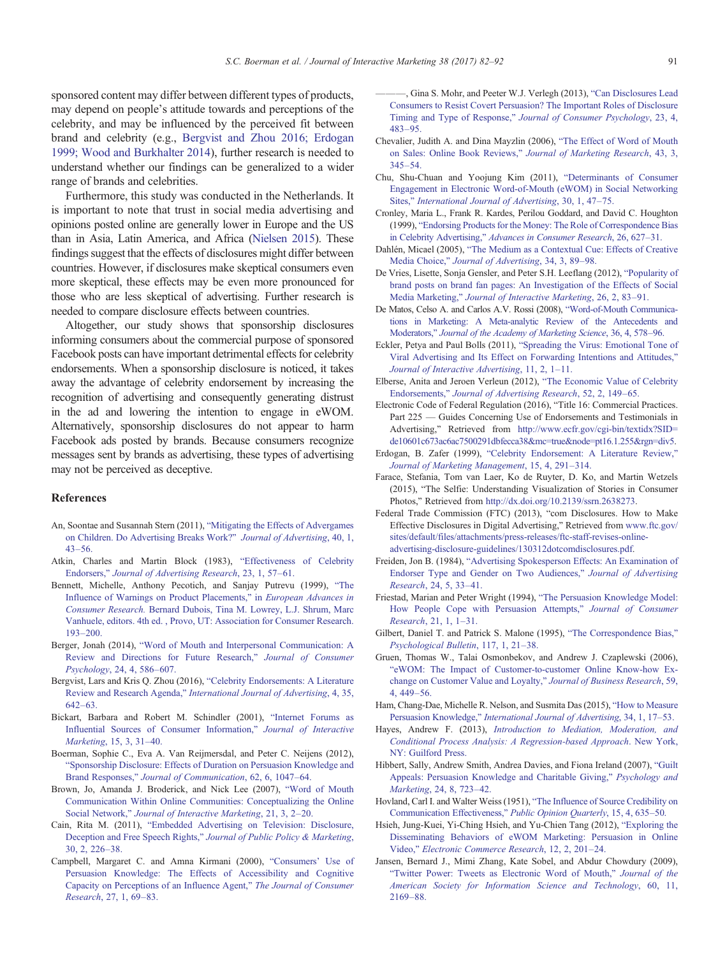<span id="page-10-0"></span>sponsored content may differ between different types of products, may depend on people's attitude towards and perceptions of the celebrity, and may be influenced by the perceived fit between brand and celebrity (e.g., Bergvist and Zhou 2016; Erdogan 1999; Wood and Burkhalter 2014), further research is needed to understand whether our findings can be generalized to a wider range of brands and celebrities.

Furthermore, this study was conducted in the Netherlands. It is important to note that trust in social media advertising and opinions posted online are generally lower in Europe and the US than in Asia, Latin America, and Africa [\(Nielsen 2015](#page-11-0)). These findings suggest that the effects of disclosures might differ between countries. However, if disclosures make skeptical consumers even more skeptical, these effects may be even more pronounced for those who are less skeptical of advertising. Further research is needed to compare disclosure effects between countries.

Altogether, our study shows that sponsorship disclosures informing consumers about the commercial purpose of sponsored Facebook posts can have important detrimental effects for celebrity endorsements. When a sponsorship disclosure is noticed, it takes away the advantage of celebrity endorsement by increasing the recognition of advertising and consequently generating distrust in the ad and lowering the intention to engage in eWOM. Alternatively, sponsorship disclosures do not appear to harm Facebook ads posted by brands. Because consumers recognize messages sent by brands as advertising, these types of advertising may not be perceived as deceptive.

#### References

- An, Soontae and Susannah Stern (2011), "[Mitigating the Effects of Advergames](http://refhub.elsevier.com/S1094-9968(16)30078-0/rf0005) [on Children. Do Advertising Breaks Work?](http://refhub.elsevier.com/S1094-9968(16)30078-0/rf0005)" Journal of Advertising, 40, 1, 43–[56.](http://refhub.elsevier.com/S1094-9968(16)30078-0/rf0005)
- Atkin, Charles and Martin Block (1983), "[Effectiveness of Celebrity](http://refhub.elsevier.com/S1094-9968(16)30078-0/rf0010) Endorsers," [Journal of Advertising Research](http://refhub.elsevier.com/S1094-9968(16)30078-0/rf0010), 23, 1, 57–61.
- Bennett, Michelle, Anthony Pecotich, and Sanjay Putrevu (1999), "[The](http://refhub.elsevier.com/S1094-9968(16)30078-0/rf0015) [Influence of Warnings on Product Placements,](http://refhub.elsevier.com/S1094-9968(16)30078-0/rf0015)" in European Advances in Consumer Research. [Bernard Dubois, Tina M. Lowrey, L.J. Shrum, Marc](http://refhub.elsevier.com/S1094-9968(16)30078-0/rf0015) [Vanhuele, editors. 4th ed. , Provo, UT: Association for Consumer Research.](http://refhub.elsevier.com/S1094-9968(16)30078-0/rf0015) 193–[200.](http://refhub.elsevier.com/S1094-9968(16)30078-0/rf0015)
- Berger, Jonah (2014), "[Word of Mouth and Interpersonal Communication: A](http://refhub.elsevier.com/S1094-9968(16)30078-0/rf0020) [Review and Directions for Future Research,](http://refhub.elsevier.com/S1094-9968(16)30078-0/rf0020)" Journal of Consumer Psychology[, 24, 4, 586](http://refhub.elsevier.com/S1094-9968(16)30078-0/rf0020)–607.
- Bergvist, Lars and Kris Q. Zhou (2016), "[Celebrity Endorsements: A Literature](http://refhub.elsevier.com/S1094-9968(16)30078-0/rf0025) Review and Research Agenda," [International Journal of Advertising](http://refhub.elsevier.com/S1094-9968(16)30078-0/rf0025), 4, 35, [642](http://refhub.elsevier.com/S1094-9968(16)30078-0/rf0025)–63.
- Bickart, Barbara and Robert M. Schindler (2001), "[Internet Forums as](http://refhub.elsevier.com/S1094-9968(16)30078-0/rf0030) [Influential Sources of Consumer Information,](http://refhub.elsevier.com/S1094-9968(16)30078-0/rf0030)" Journal of Interactive Marketing[, 15, 3, 31](http://refhub.elsevier.com/S1094-9968(16)30078-0/rf0030)–40.
- Boerman, Sophie C., Eva A. Van Reijmersdal, and Peter C. Neijens (2012), "[Sponsorship Disclosure: Effects of Duration on Persuasion Knowledge and](http://refhub.elsevier.com/S1094-9968(16)30078-0/rf0035) Brand Responses," [Journal of Communication](http://refhub.elsevier.com/S1094-9968(16)30078-0/rf0035), 62, 6, 1047–64.
- Brown, Jo, Amanda J. Broderick, and Nick Lee (2007), "[Word of Mouth](http://refhub.elsevier.com/S1094-9968(16)30078-0/rf0040) [Communication Within Online Communities: Conceptualizing the Online](http://refhub.elsevier.com/S1094-9968(16)30078-0/rf0040) Social Network," [Journal of Interactive Marketing](http://refhub.elsevier.com/S1094-9968(16)30078-0/rf0040), 21, 3, 2–20.
- Cain, Rita M. (2011), "[Embedded Advertising on Television: Disclosure,](http://refhub.elsevier.com/S1094-9968(16)30078-0/rf0045) Deception and Free Speech Rights," [Journal of Public Policy & Marketing](http://refhub.elsevier.com/S1094-9968(16)30078-0/rf0045), [30, 2, 226](http://refhub.elsevier.com/S1094-9968(16)30078-0/rf0045)–38.
- Campbell, Margaret C. and Amna Kirmani (2000), "[Consumers' Use of](http://refhub.elsevier.com/S1094-9968(16)30078-0/rf0050) [Persuasion Knowledge: The Effects of Accessibility and Cognitive](http://refhub.elsevier.com/S1094-9968(16)30078-0/rf0050) [Capacity on Perceptions of an Influence Agent,](http://refhub.elsevier.com/S1094-9968(16)30078-0/rf0050)" The Journal of Consumer Research[, 27, 1, 69](http://refhub.elsevier.com/S1094-9968(16)30078-0/rf0050)–83.
- ———, Gina S. Mohr, and Peeter W.J. Verlegh (2013), "[Can Disclosures Lead](http://refhub.elsevier.com/S1094-9968(16)30078-0/rf0055) [Consumers to Resist Covert Persuasion? The Important Roles of Disclosure](http://refhub.elsevier.com/S1094-9968(16)30078-0/rf0055) Timing and Type of Response," [Journal of Consumer Psychology](http://refhub.elsevier.com/S1094-9968(16)30078-0/rf0055), 23, 4, [483](http://refhub.elsevier.com/S1094-9968(16)30078-0/rf0055)–95.
- Chevalier, Judith A. and Dina Mayzlin (2006), "[The Effect of Word of Mouth](http://refhub.elsevier.com/S1094-9968(16)30078-0/rf0060) [on Sales: Online Book Reviews,](http://refhub.elsevier.com/S1094-9968(16)30078-0/rf0060)" Journal of Marketing Research, 43, 3, [345](http://refhub.elsevier.com/S1094-9968(16)30078-0/rf0060)–54.
- Chu, Shu-Chuan and Yoojung Kim (2011), "[Determinants of Consumer](http://refhub.elsevier.com/S1094-9968(16)30078-0/rf0065) [Engagement in Electronic Word-of-Mouth \(eWOM\) in Social Networking](http://refhub.elsevier.com/S1094-9968(16)30078-0/rf0065) Sites," [International Journal of Advertising](http://refhub.elsevier.com/S1094-9968(16)30078-0/rf0065), 30, 1, 47–75.
- Cronley, Maria L., Frank R. Kardes, Perilou Goddard, and David C. Houghton (1999), "[Endorsing Products for the Money: The Role of Correspondence Bias](http://refhub.elsevier.com/S1094-9968(16)30078-0/rf0070) in Celebrity Advertising," [Advances in Consumer Research](http://refhub.elsevier.com/S1094-9968(16)30078-0/rf0070), 26, 627–31.
- Dahlén, Micael (2005), "[The Medium as a Contextual Cue: Effects of Creative](http://refhub.elsevier.com/S1094-9968(16)30078-0/rf0075) Media Choice," [Journal of Advertising](http://refhub.elsevier.com/S1094-9968(16)30078-0/rf0075), 34, 3, 89–98.
- De Vries, Lisette, Sonja Gensler, and Peter S.H. Leeflang (2012), "[Popularity of](http://refhub.elsevier.com/S1094-9968(16)30078-0/rf0325) [brand posts on brand fan pages: An Investigation of the Effects of Social](http://refhub.elsevier.com/S1094-9968(16)30078-0/rf0325) Media Marketing," [Journal of Interactive Marketing](http://refhub.elsevier.com/S1094-9968(16)30078-0/rf0325), 26, 2, 83–91.
- De Matos, Celso A. and Carlos A.V. Rossi (2008), "[Word-of-Mouth Communica](http://refhub.elsevier.com/S1094-9968(16)30078-0/rf0080)[tions in Marketing: A Meta-analytic Review of the Antecedents and](http://refhub.elsevier.com/S1094-9968(16)30078-0/rf0080) Moderators," [Journal of the Academy of Marketing Science](http://refhub.elsevier.com/S1094-9968(16)30078-0/rf0080), 36, 4, 578–96.
- Eckler, Petya and Paul Bolls (2011), "[Spreading the Virus: Emotional Tone of](http://refhub.elsevier.com/S1094-9968(16)30078-0/rf0085) [Viral Advertising and Its Effect on Forwarding Intentions and Attitudes,](http://refhub.elsevier.com/S1094-9968(16)30078-0/rf0085)" [Journal of Interactive Advertising](http://refhub.elsevier.com/S1094-9968(16)30078-0/rf0085), 11, 2, 1–11.
- Elberse, Anita and Jeroen Verleun (2012), "[The Economic Value of Celebrity](http://refhub.elsevier.com/S1094-9968(16)30078-0/rf0090) Endorsements," [Journal of Advertising Research](http://refhub.elsevier.com/S1094-9968(16)30078-0/rf0090), 52, 2, 149–65.
- Electronic Code of Federal Regulation (2016), "Title 16: Commercial Practices. Part 225 — Guides Concerning Use of Endorsements and Testimonials in Advertising," Retrieved from [http://www.ecfr.gov/cgi-bin/textidx?SID=](http://www.ecfr.gov/cgi-bin/textidx?SID=de10601c673ac6ac7500291dbfecca38&mc=true&node=pt16.1.255&rgn=div5) [de10601c673ac6ac7500291dbfecca38&mc=true&node=pt16.1.255&rgn=div5](http://www.ecfr.gov/cgi-bin/textidx?SID=de10601c673ac6ac7500291dbfecca38&mc=true&node=pt16.1.255&rgn=div5).
- Erdogan, B. Zafer (1999), "[Celebrity Endorsement: A Literature Review,](http://refhub.elsevier.com/S1094-9968(16)30078-0/rf0100)" [Journal of Marketing Management](http://refhub.elsevier.com/S1094-9968(16)30078-0/rf0100), 15, 4, 291–314.
- Farace, Stefania, Tom van Laer, Ko de Ruyter, D. Ko, and Martin Wetzels (2015), "The Selfie: Understanding Visualization of Stories in Consumer Photos," Retrieved from <http://dx.doi.org/10.2139/ssrn.2638273>.
- Federal Trade Commission (FTC) (2013), "com Disclosures. How to Make Effective Disclosures in Digital Advertising," Retrieved from [www.ftc.gov/](http://www.ftc.gov/sites/default/files/attachments/press-releases/ftc-staff-revises-online-advertising-disclosure-guidelines/130312dotcomdisclosures.pdf) [sites/default/files/attachments/press-releases/ftc-staff-revises-online](http://www.ftc.gov/sites/default/files/attachments/press-releases/ftc-staff-revises-online-advertising-disclosure-guidelines/130312dotcomdisclosures.pdf)[advertising-disclosure-guidelines/130312dotcomdisclosures.pdf.](http://www.ftc.gov/sites/default/files/attachments/press-releases/ftc-staff-revises-online-advertising-disclosure-guidelines/130312dotcomdisclosures.pdf)
- Freiden, Jon B. (1984), "[Advertising Spokesperson Effects: An Examination of](http://refhub.elsevier.com/S1094-9968(16)30078-0/rf0115) [Endorser Type and Gender on Two Audiences,](http://refhub.elsevier.com/S1094-9968(16)30078-0/rf0115)" Journal of Advertising Research[, 24, 5, 33](http://refhub.elsevier.com/S1094-9968(16)30078-0/rf0115)–41.
- Friestad, Marian and Peter Wright (1994), "[The Persuasion Knowledge Model:](http://refhub.elsevier.com/S1094-9968(16)30078-0/rf0120) [How People Cope with Persuasion Attempts,](http://refhub.elsevier.com/S1094-9968(16)30078-0/rf0120)" Journal of Consumer [Research](http://refhub.elsevier.com/S1094-9968(16)30078-0/rf0120), 21, 1, 1–31.
- Gilbert, Daniel T. and Patrick S. Malone (1995), "[The Correspondence Bias,](http://refhub.elsevier.com/S1094-9968(16)30078-0/rf0125)" [Psychological Bulletin](http://refhub.elsevier.com/S1094-9968(16)30078-0/rf0125), 117, 1, 21–38.
- Gruen, Thomas W., Talai Osmonbekov, and Andrew J. Czaplewski (2006), "[eWOM: The Impact of Customer-to-customer Online Know-how Ex](http://refhub.elsevier.com/S1094-9968(16)30078-0/rf0130)[change on Customer Value and Loyalty,](http://refhub.elsevier.com/S1094-9968(16)30078-0/rf0130)" Journal of Business Research, 59, [4, 449](http://refhub.elsevier.com/S1094-9968(16)30078-0/rf0130)–56.
- Ham, Chang-Dae, Michelle R. Nelson, and Susmita Das (2015), "[How to Measure](http://refhub.elsevier.com/S1094-9968(16)30078-0/rf0135) Persuasion Knowledge," [International Journal of Advertising](http://refhub.elsevier.com/S1094-9968(16)30078-0/rf0135), 34, 1, 17–53.
- Hayes, Andrew F. (2013), [Introduction to Mediation, Moderation, and](http://refhub.elsevier.com/S1094-9968(16)30078-0/rf0140) [Conditional Process Analysis: A Regression-based Approach](http://refhub.elsevier.com/S1094-9968(16)30078-0/rf0140). New York, [NY: Guilford Press.](http://refhub.elsevier.com/S1094-9968(16)30078-0/rf0140)
- Hibbert, Sally, Andrew Smith, Andrea Davies, and Fiona Ireland (2007), "[Guilt](http://refhub.elsevier.com/S1094-9968(16)30078-0/rf0145) [Appeals: Persuasion Knowledge and Charitable Giving,](http://refhub.elsevier.com/S1094-9968(16)30078-0/rf0145)" Psychology and Marketing[, 24, 8, 723](http://refhub.elsevier.com/S1094-9968(16)30078-0/rf0145)–42.
- Hovland, Carl I. and Walter Weiss (1951), "[The Influence of Source Credibility on](http://refhub.elsevier.com/S1094-9968(16)30078-0/rf0150) [Communication Effectiveness,](http://refhub.elsevier.com/S1094-9968(16)30078-0/rf0150)" Public Opinion Quarterly, 15, 4, 635–50.
- Hsieh, Jung-Kuei, Yi-Ching Hsieh, and Yu-Chien Tang (2012), "[Exploring the](http://refhub.elsevier.com/S1094-9968(16)30078-0/rf0155) [Disseminating Behaviors of eWOM Marketing: Persuasion in Online](http://refhub.elsevier.com/S1094-9968(16)30078-0/rf0155) Video," [Electronic Commerce Research](http://refhub.elsevier.com/S1094-9968(16)30078-0/rf0155), 12, 2, 201–24.
- Jansen, Bernard J., Mimi Zhang, Kate Sobel, and Abdur Chowdury (2009), "[Twitter Power: Tweets as Electronic Word of Mouth,](http://refhub.elsevier.com/S1094-9968(16)30078-0/rf0160)" Journal of the [American Society for Information Science and Technology](http://refhub.elsevier.com/S1094-9968(16)30078-0/rf0160), 60, 11, [2169](http://refhub.elsevier.com/S1094-9968(16)30078-0/rf0160)–88.